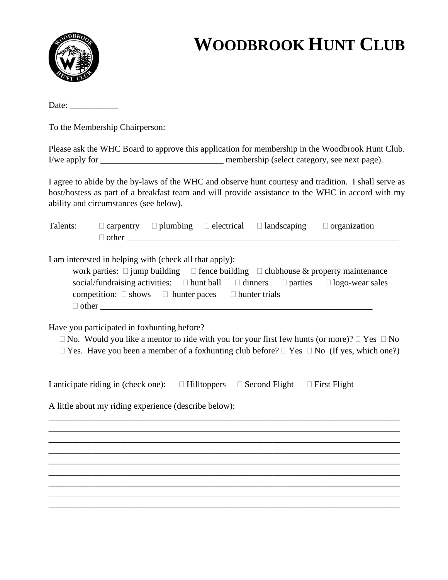

Date:

To the Membership Chairperson:

|                | Please ask the WHC Board to approve this application for membership in the Woodbrook Hunt Club. |
|----------------|-------------------------------------------------------------------------------------------------|
| I/we apply for | membership (select category, see next page).                                                    |

I agree to abide by the by-laws of the WHC and observe hunt courtesy and tradition. I shall serve as host/hostess as part of a breakfast team and will provide assistance to the WHC in accord with my ability and circumstances (see below).

| Talents: |                                                                                                                                                                   |  | $\Box$ carpentry $\Box$ plumbing $\Box$ electrical $\Box$ landscaping | $\Box$ organization                                                                                                                                                                                                       |
|----------|-------------------------------------------------------------------------------------------------------------------------------------------------------------------|--|-----------------------------------------------------------------------|---------------------------------------------------------------------------------------------------------------------------------------------------------------------------------------------------------------------------|
|          | I am interested in helping with (check all that apply):<br>competition: $\square$ shows $\square$ hunter paces $\square$ hunter trials                            |  |                                                                       | work parties: $\square$ jump building $\square$ fence building $\square$ clubhouse & property maintenance<br>social/fundraising activities: $\Box$ hunt ball $\Box$ dinners $\Box$ parties $\Box$ logo-wear sales         |
|          | Have you participated in foxhunting before?                                                                                                                       |  |                                                                       | $\Box$ No. Would you like a mentor to ride with you for your first few hunts (or more)? $\Box$ Yes $\Box$ No<br>$\Box$ Yes. Have you been a member of a foxhunting club before? $\Box$ Yes $\Box$ No (If yes, which one?) |
|          | I anticipate riding in (check one): $\square$ Hilltoppers $\square$ Second Flight $\square$ First Flight<br>A little about my riding experience (describe below): |  |                                                                       |                                                                                                                                                                                                                           |
|          |                                                                                                                                                                   |  |                                                                       | ,我们也不能在这里的人,我们也不能在这里的人,我们也不能在这里的人,我们也不能在这里的人,我们也不能在这里的人,我们也不能在这里的人,我们也不能在这里的人,我们也                                                                                                                                         |
|          |                                                                                                                                                                   |  |                                                                       | <u> 1989 - Johann Barbara, marka a shekara tsa na shekara tsa na shekara tsa na shekara tsa na shekara tsa na sh</u>                                                                                                      |
|          |                                                                                                                                                                   |  |                                                                       |                                                                                                                                                                                                                           |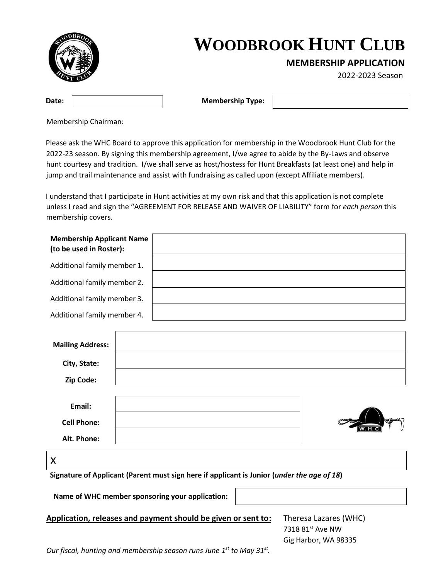

**MEMBERSHIP APPLICATION** 

2022-2023 Season

**Date:**  $\vert$  **Membership Type:** 

Membership Chairman:

Please ask the WHC Board to approve this application for membership in the Woodbrook Hunt Club for the 2022-23 season. By signing this membership agreement, I/we agree to abide by the By-Laws and observe hunt courtesy and tradition. I/we shall serve as host/hostess for Hunt Breakfasts (at least one) and help in jump and trail maintenance and assist with fundraising as called upon (except Affiliate members).

I understand that I participate in Hunt activities at my own risk and that this application is not complete unless I read and sign the "AGREEMENT FOR RELEASE AND WAIVER OF LIABILITY" form for *each person* this membership covers.

| <b>Membership Applicant Name</b><br>(to be used in Roster): |  |  |
|-------------------------------------------------------------|--|--|
| Additional family member 1.                                 |  |  |
| Additional family member 2.                                 |  |  |
| Additional family member 3.                                 |  |  |
| Additional family member 4.                                 |  |  |
|                                                             |  |  |
| <b>Mailing Address:</b>                                     |  |  |
| City, State:                                                |  |  |
| Zip Code:                                                   |  |  |
|                                                             |  |  |
| Email:                                                      |  |  |
| <b>Cell Phone:</b>                                          |  |  |
| Alt. Phone:                                                 |  |  |

x

**Signature of Applicant (Parent must sign here if applicant is Junior (***under the age of 18***)** 

 **Name of WHC member sponsoring your application:** 

**Application, releases and payment should be given or sent to:** Theresa Lazares (WHC)

7318 81st Ave NW Gig Harbor, WA 98335

*Our fiscal, hunting and membership season runs June 1st to May 31st .*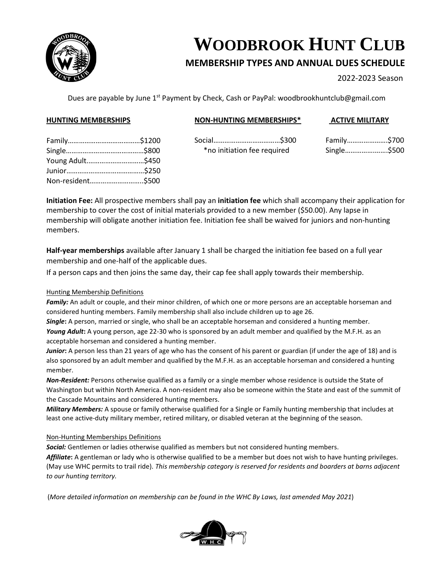

### **MEMBERSHIP TYPES AND ANNUAL DUES SCHEDULE**

2022-2023 Season

Dues are payable by June 1<sup>st</sup> Payment by Check, Cash or PayPal: woodbrookhuntclub@gmail.com

#### **HUNTING MEMBERSHIPS**

#### **NON-HUNTING MEMBERSHIPS\***

#### **ACTIVE MILITARY**

Social………………………………\$300 \*no initiation fee required

| Family\$700 |
|-------------|
| Single\$500 |

| Young Adult\$450  |  |
|-------------------|--|
|                   |  |
| Non-resident\$500 |  |

**Initiation Fee:** All prospective members shall pay an **initiation fee** which shall accompany their application for membership to cover the cost of initial materials provided to a new member (\$50.00). Any lapse in membership will obligate another initiation fee. Initiation fee shall be waived for juniors and non-hunting members.

**Half-year memberships** available after January 1 shall be charged the initiation fee based on a full year membership and one-half of the applicable dues.

If a person caps and then joins the same day, their cap fee shall apply towards their membership.

#### Hunting Membership Definitions

*Family:* An adult or couple, and their minor children, of which one or more persons are an acceptable horseman and considered hunting members. Family membership shall also include children up to age 26.

*Single***:** A person, married or single, who shall be an acceptable horseman and considered a hunting member. *Young Adult***:** A young person, age 22-30 who is sponsored by an adult member and qualified by the M.F.H. as an acceptable horseman and considered a hunting member.

*Junior***:** A person less than 21 years of age who has the consent of his parent or guardian (if under the age of 18) and is also sponsored by an adult member and qualified by the M.F.H. as an acceptable horseman and considered a hunting member.

*Non-Resident:* Persons otherwise qualified as a family or a single member whose residence is outside the State of Washington but within North America. A non-resident may also be someone within the State and east of the summit of the Cascade Mountains and considered hunting members.

*Military Members:* A spouse or family otherwise qualified for a Single or Family hunting membership that includes at least one active-duty military member, retired military, or disabled veteran at the beginning of the season.

#### Non-Hunting Memberships Definitions

*Social:* Gentlemen or ladies otherwise qualified as members but not considered hunting members.

*Affiliate***:** A gentleman or lady who is otherwise qualified to be a member but does not wish to have hunting privileges. (May use WHC permits to trail ride). *This membership category is reserved for residents and boarders at barns adjacent to our hunting territory.*

(*More detailed information on membership can be found in the WHC By Laws, last amended May 2021*)

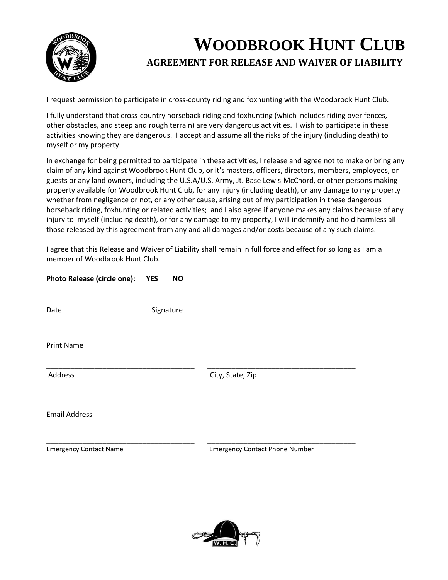

### **WOODBROOK HUNT CLUB AGREEMENT FOR RELEASE AND WAIVER OF LIABILITY**

I request permission to participate in cross-county riding and foxhunting with the Woodbrook Hunt Club.

I fully understand that cross-country horseback riding and foxhunting (which includes riding over fences, other obstacles, and steep and rough terrain) are very dangerous activities. I wish to participate in these activities knowing they are dangerous. I accept and assume all the risks of the injury (including death) to myself or my property.

In exchange for being permitted to participate in these activities, I release and agree not to make or bring any claim of any kind against Woodbrook Hunt Club, or it's masters, officers, directors, members, employees, or guests or any land owners, including the U.S.A/U.S. Army, Jt. Base Lewis-McChord, or other persons making property available for Woodbrook Hunt Club, for any injury (including death), or any damage to my property whether from negligence or not, or any other cause, arising out of my participation in these dangerous horseback riding, foxhunting or related activities; and I also agree if anyone makes any claims because of any injury to myself (including death), or for any damage to my property, I will indemnify and hold harmless all those released by this agreement from any and all damages and/or costs because of any such claims.

I agree that this Release and Waiver of Liability shall remain in full force and effect for so long as I am a member of Woodbrook Hunt Club.

\_\_\_\_\_\_\_\_\_\_\_\_\_\_\_\_\_\_\_\_\_\_\_\_ \_\_\_\_\_\_\_\_\_\_\_\_\_\_\_\_\_\_\_\_\_\_\_\_\_\_\_\_\_\_\_\_\_\_\_\_\_\_\_\_\_\_\_\_\_\_\_\_\_\_\_\_\_\_\_\_\_

\_\_\_\_\_\_\_\_\_\_\_\_\_\_\_\_\_\_\_\_\_\_\_\_\_\_\_\_\_\_\_\_\_\_\_\_\_ \_\_\_\_\_\_\_\_\_\_\_\_\_\_\_\_\_\_\_\_\_\_\_\_\_\_\_\_\_\_\_\_\_\_\_\_\_

|  | <b>Photo Release (circle one):</b> | <b>YES</b> | <b>NO</b> |
|--|------------------------------------|------------|-----------|
|  |                                    |            |           |

\_\_\_\_\_\_\_\_\_\_\_\_\_\_\_\_\_\_\_\_\_\_\_\_\_\_\_\_\_\_\_\_\_\_\_\_\_

Date Signature

\_\_\_\_\_\_\_\_\_\_\_\_\_\_\_\_\_\_\_\_\_\_\_\_\_\_\_\_\_\_\_\_\_\_\_\_\_\_\_\_\_\_\_\_\_\_\_\_\_\_\_\_\_

Print Name

\_\_\_\_\_\_\_\_\_\_\_\_\_\_\_\_\_\_\_\_\_\_\_\_\_\_\_\_\_\_\_\_\_\_\_\_\_ \_\_\_\_\_\_\_\_\_\_\_\_\_\_\_\_\_\_\_\_\_\_\_\_\_\_\_\_\_\_\_\_\_\_\_\_\_ Address City, State, Zip

Email Address

Emergency Contact Name Emergency Contact Phone Number